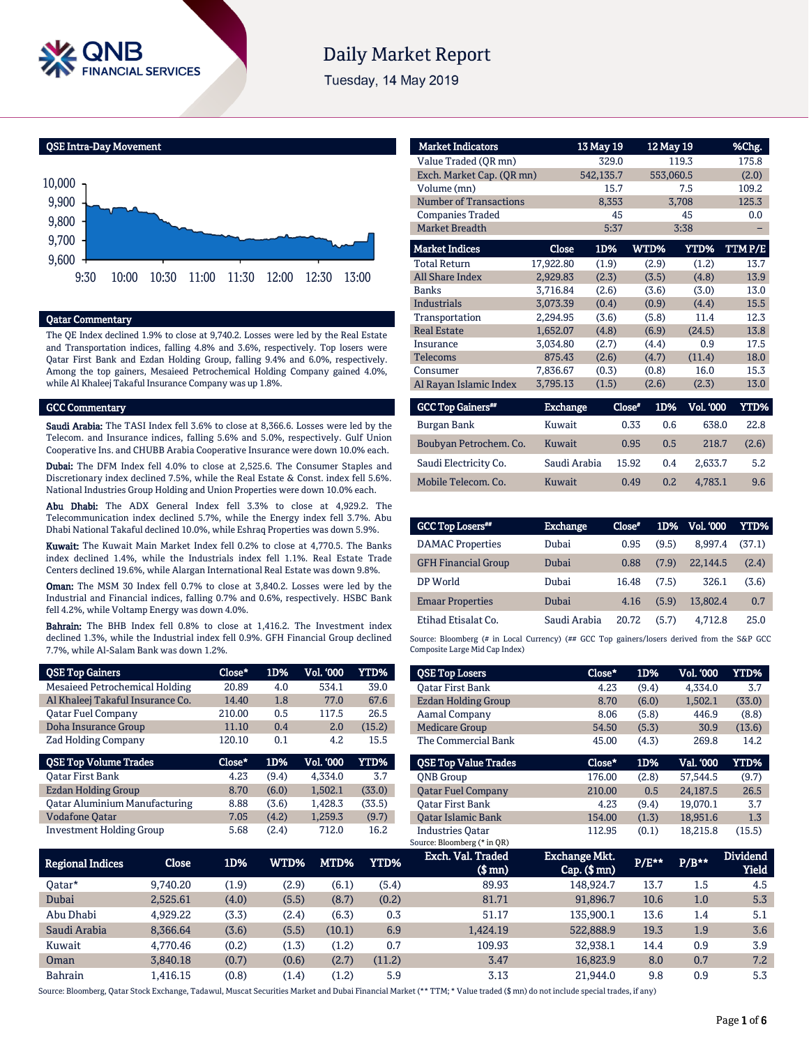

# **Daily Market Report**

Tuesday, 14 May 2019

QSE Intra-Day Movement



## Qatar Commentary

The QE Index declined 1.9% to close at 9,740.2. Losses were led by the Real Estate and Transportation indices, falling 4.8% and 3.6%, respectively. Top losers were Qatar First Bank and Ezdan Holding Group, falling 9.4% and 6.0%, respectively. Among the top gainers, Mesaieed Petrochemical Holding Company gained 4.0%, while Al Khaleej Takaful Insurance Company was up 1.8%.

### GCC Commentary

Saudi Arabia: The TASI Index fell 3.6% to close at 8,366.6. Losses were led by the Telecom. and Insurance indices, falling 5.6% and 5.0%, respectively. Gulf Union Cooperative Ins. and CHUBB Arabia Cooperative Insurance were down 10.0% each.

Dubai: The DFM Index fell 4.0% to close at 2,525.6. The Consumer Staples and Discretionary index declined 7.5%, while the Real Estate & Const. index fell 5.6%. National Industries Group Holding and Union Properties were down 10.0% each.

Abu Dhabi: The ADX General Index fell 3.3% to close at 4,929.2. The Telecommunication index declined 5.7%, while the Energy index fell 3.7%. Abu Dhabi National Takaful declined 10.0%, while Eshraq Properties was down 5.9%.

Kuwait: The Kuwait Main Market Index fell 0.2% to close at 4,770.5. The Banks index declined 1.4%, while the Industrials index fell 1.1%. Real Estate Trade Centers declined 19.6%, while Alargan International Real Estate was down 9.8%.

Oman: The MSM 30 Index fell 0.7% to close at 3,840.2. Losses were led by the Industrial and Financial indices, falling 0.7% and 0.6%, respectively. HSBC Bank fell 4.2%, while Voltamp Energy was down 4.0%.

Bahrain: The BHB Index fell 0.8% to close at 1,416.2. The Investment index declined 1.3%, while the Industrial index fell 0.9%. GFH Financial Group declined 7.7%, while Al-Salam Bank was down 1.2%.

| <b>QSE Top Gainers</b>               | Close* | 1D%   | Vol. '000 | <b>YTD%</b> |
|--------------------------------------|--------|-------|-----------|-------------|
| Mesaieed Petrochemical Holding       | 20.89  | 4.0   | 534.1     | 39.0        |
| Al Khaleej Takaful Insurance Co.     | 14.40  | 1.8   | 77.0      | 67.6        |
| <b>Oatar Fuel Company</b>            | 210.00 | 0.5   | 117.5     | 26.5        |
| Doha Insurance Group                 | 11.10  | 0.4   | 2.0       | (15.2)      |
| <b>Zad Holding Company</b>           | 120.10 | 0.1   | 4.2       | 15.5        |
|                                      |        |       |           |             |
| <b>QSE Top Volume Trades</b>         | Close* | 1D%   | Vol. '000 | YTD%        |
| <b>Oatar First Bank</b>              | 4.23   | (9.4) | 4.334.0   | 3.7         |
| Ezdan Holding Group                  | 8.70   | (6.0) | 1.502.1   | (33.0)      |
| <b>Qatar Aluminium Manufacturing</b> | 8.88   | (3.6) | 1.428.3   | (33.5)      |
| <b>Vodafone Qatar</b>                | 7.05   | (4.2) | 1,259.3   | (9.7)       |

| <b>Market Indicators</b>      |                 | 13 May 19 | 12 May 19     |             | %Chg.       |
|-------------------------------|-----------------|-----------|---------------|-------------|-------------|
| Value Traded (QR mn)          |                 | 329.0     |               | 119.3       | 175.8       |
| Exch. Market Cap. (QR mn)     |                 | 542,135.7 | 553,060.5     |             | (2.0)       |
| Volume (mn)                   |                 | 15.7      |               | 7.5         | 109.2       |
| <b>Number of Transactions</b> |                 | 8,353     |               | 3,708       | 125.3       |
| <b>Companies Traded</b>       |                 | 45        |               | 45          | 0.0         |
| <b>Market Breadth</b>         |                 | 5:37      |               | 3:38        |             |
| <b>Market Indices</b>         | Close           | 1D%       | WTD%          | <b>YTD%</b> | TTMP/E      |
| <b>Total Return</b>           | 17,922.80       | (1.9)     | (2.9)         | (1.2)       | 13.7        |
| All Share Index               | 2,929.83        | (2.3)     | (3.5)         | (4.8)       | 13.9        |
| <b>Banks</b>                  | 3,716.84        | (2.6)     | (3.6)         | (3.0)       | 13.0        |
| Industrials                   | 3,073.39        | (0.4)     | (0.9)         | (4.4)       | 15.5        |
| Transportation                | 2,294.95        | (3.6)     | (5.8)         | 11.4        | 12.3        |
| <b>Real Estate</b>            | 1,652.07        | (4.8)     | (6.9)         | (24.5)      | 13.8        |
| Insurance                     | 3,034.80        | (2.7)     | (4.4)         | 0.9         | 17.5        |
| <b>Telecoms</b>               | 875.43          | (2.6)     | (4.7)         | (11.4)      | 18.0        |
| Consumer                      | 7,836.67        | (0.3)     | (0.8)         | 16.0        | 15.3        |
| Al Rayan Islamic Index        | 3,795.13        | (1.5)     | (2.6)         | (2.3)       | 13.0        |
| <b>GCC Top Gainers**</b>      | <b>Exchange</b> |           | Close*<br>1D% | Vol. '000   | <b>YTD%</b> |
| Burgan Bank                   | Kuwait          |           | 0.33<br>0.6   | 638.0       | 22.8        |

| Burgan Bank            | Kuwait       | 0.33  | 0.6 | 638.0   | 22.8  |
|------------------------|--------------|-------|-----|---------|-------|
| Boubyan Petrochem. Co. | Kuwait       | 0.95  | 0.5 | 218.7   | (2.6) |
| Saudi Electricity Co.  | Saudi Arabia | 15.92 | 0.4 | 2.633.7 | 5.2   |
| Mobile Telecom. Co.    | Kuwait       | 0.49  | 0.2 | 4.783.1 | 9.6   |
|                        |              |       |     |         |       |

| <b>GCC Top Losers**</b>    | <b>Exchange</b> | Close* | 1D%   | Vol. '000 | YTD%   |
|----------------------------|-----------------|--------|-------|-----------|--------|
| <b>DAMAC</b> Properties    | Dubai           | 0.95   | (9.5) | 8.997.4   | (37.1) |
| <b>GFH Financial Group</b> | Dubai           | 0.88   | (7.9) | 22.144.5  | (2.4)  |
| DP World                   | Dubai           | 16.48  | (7.5) | 326.1     | (3.6)  |
| <b>Emaar Properties</b>    | Dubai           | 4.16   | (5.9) | 13.802.4  | 0.7    |
| Etihad Etisalat Co.        | Saudi Arabia    | 20.72  | (5.7) | 4.712.8   | 25.0   |

Source: Bloomberg (# in Local Currency) (## GCC Top gainers/losers derived from the S&P GCC Composite Large Mid Cap Index)

| <b>QSE Top Losers</b>       | Close* | 1D%   | <b>Vol. '000</b> | YTD%   |
|-----------------------------|--------|-------|------------------|--------|
| <b>Oatar First Bank</b>     | 4.23   | (9.4) | 4.334.0          | 3.7    |
| Ezdan Holding Group         | 8.70   | (6.0) | 1,502.1          | (33.0) |
| <b>Aamal Company</b>        | 8.06   | (5.8) | 446.9            | (8.8)  |
| <b>Medicare Group</b>       | 54.50  | (5.3) | 30.9             | (13.6) |
| The Commercial Bank         | 45.00  | (4.3) | 269.8            | 14.2   |
|                             |        |       |                  |        |
| <b>OSE Top Value Trades</b> | Close* | 1D%   | Val. '000        | YTD%   |
| <b>ONB</b> Group            | 176.00 | (2.8) | 57.544.5         | (9.7)  |
| <b>Oatar Fuel Company</b>   | 210.00 | 0.5   | 24.187.5         | 26.5   |
| <b>Oatar First Bank</b>     | 4.23   | (9.4) | 19.070.1         | 3.7    |
| <b>Oatar Islamic Bank</b>   | 154.00 | (1.3) | 18,951.6         | 1.3    |

| Regional Indices | Close    | 1D%   | WTD%' | MTD%   | YTD%   | Exch. Val. Traded<br>$$$ mn $)$ | <b>Exchange Mkt.</b><br>Cap. (\$ mn) | $P/E***$ | $P/B***$ | <b>Dividend</b><br>Yield |
|------------------|----------|-------|-------|--------|--------|---------------------------------|--------------------------------------|----------|----------|--------------------------|
| Oatar*           | 9.740.20 | (1.9) | (2.9) | (6.1)  | (5.4)  | 89.93                           | 148.924.7                            | 13.7     | 1.5      | 4.5                      |
| Dubai            | 2.525.61 | (4.0) | (5.5) | (8.7)  | (0.2)  | 81.71                           | 91.896.7                             | 10.6     | 1.0      | 5.3                      |
| Abu Dhabi        | 4.929.22 | (3.3) | (2.4) | (6.3)  | 0.3    | 51.17                           | 135.900.1                            | 13.6     | 1.4      | 5.1                      |
| Saudi Arabia     | 8.366.64 | (3.6) | (5.5) | (10.1) | 6.9    | 1.424.19                        | 522,888.9                            | 19.3     | 1.9      | 3.6                      |
| Kuwait           | 4.770.46 | (0.2) | (1.3) | (1.2)  | 0.7    | 109.93                          | 32.938.1                             | 14.4     | 0.9      | 3.9                      |
| Oman             | 3.840.18 | (0.7) | (0.6) | (2.7)  | (11.2) | 3.47                            | 16.823.9                             | 8.0      | 0.7      | 7.2                      |
| <b>Bahrain</b>   | 1.416.15 | (0.8) | (1.4) | (1.2)  | 5.9    | 3.13                            | 21.944.0                             | 9.8      | 0.9      | 5.3                      |

Source: Bloomberg, Qatar Stock Exchange, Tadawul, Muscat Securities Market and Dubai Financial Market (\*\* TTM; \* Value traded (\$ mn) do not include special trades, if any)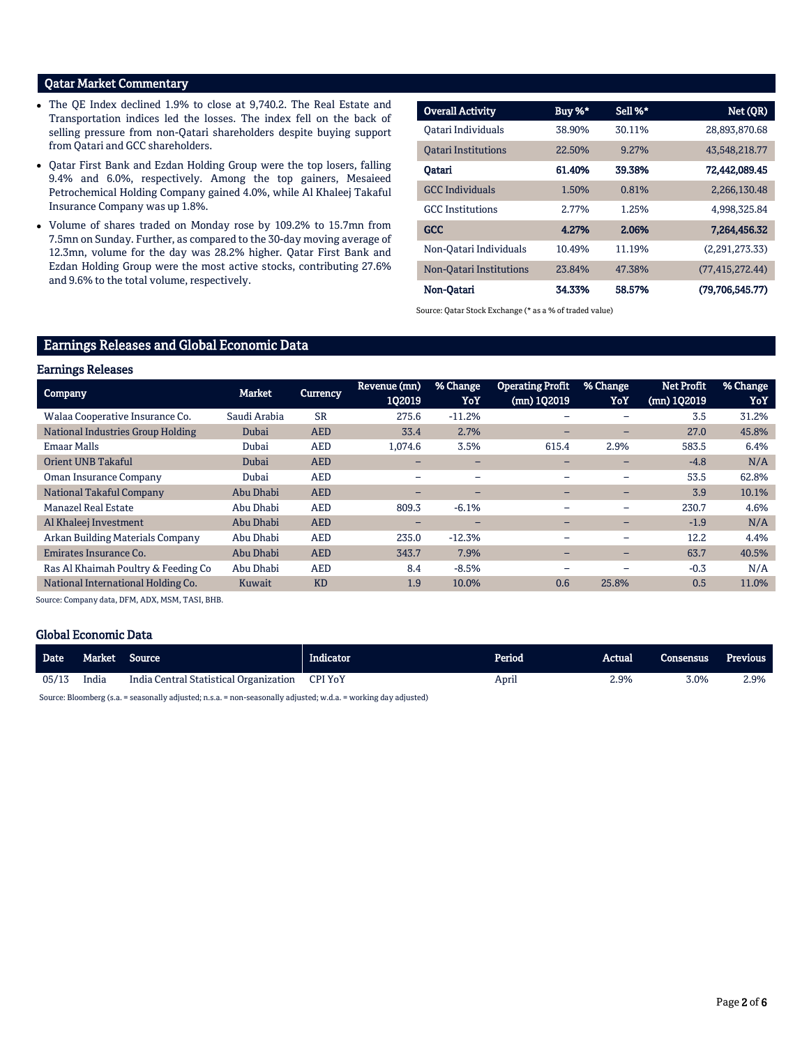# Qatar Market Commentary

- The QE Index declined 1.9% to close at 9,740.2. The Real Estate and Transportation indices led the losses. The index fell on the back of selling pressure from non-Qatari shareholders despite buying support from Qatari and GCC shareholders.
- Qatar First Bank and Ezdan Holding Group were the top losers, falling 9.4% and 6.0%, respectively. Among the top gainers, Mesaieed Petrochemical Holding Company gained 4.0%, while Al Khaleej Takaful Insurance Company was up 1.8%.
- Volume of shares traded on Monday rose by 109.2% to 15.7mn from 7.5mn on Sunday. Further, as compared to the 30-day moving average of 12.3mn, volume for the day was 28.2% higher. Qatar First Bank and Ezdan Holding Group were the most active stocks, contributing 27.6% and 9.6% to the total volume, respectively.

| <b>Overall Activity</b>    | Buy %* | Sell %* | Net (QR)           |
|----------------------------|--------|---------|--------------------|
| Oatari Individuals         | 38.90% | 30.11%  | 28,893,870.68      |
| <b>Oatari Institutions</b> | 22.50% | 9.27%   | 43,548,218.77      |
| Oatari                     | 61.40% | 39.38%  | 72,442,089.45      |
| <b>GCC</b> Individuals     | 1.50%  | 0.81%   | 2.266.130.48       |
| <b>GCC</b> Institutions    | 2.77%  | 1.25%   | 4,998,325.84       |
| <b>GCC</b>                 | 4.27%  | 2.06%   | 7,264,456.32       |
| Non-Oatari Individuals     | 10.49% | 11.19%  | (2,291,273,33)     |
| Non-Qatari Institutions    | 23.84% | 47.38%  | (77, 415, 272, 44) |
| Non-Oatari                 | 34.33% | 58.57%  | (79,706,545.77)    |

Source: Qatar Stock Exchange (\* as a % of traded value)

# Earnings Releases and Global Economic Data

### Earnings Releases

| <b>Company</b>                      | Market       | <b>Currency</b> | Revenue (mn)<br>102019   | % Change<br>YoY          | <b>Operating Profit</b><br>(mn) 102019 | % Change<br>YoY          | Net Profit<br>$(mn)$ 102019 | % Change<br>YoY |
|-------------------------------------|--------------|-----------------|--------------------------|--------------------------|----------------------------------------|--------------------------|-----------------------------|-----------------|
| Walaa Cooperative Insurance Co.     | Saudi Arabia | <b>SR</b>       | 275.6                    | $-11.2%$                 |                                        | ۰                        | 3.5                         | 31.2%           |
| National Industries Group Holding   | Dubai        | <b>AED</b>      | 33.4                     | 2.7%                     | -                                      | -                        | 27.0                        | 45.8%           |
| <b>Emaar Malls</b>                  | Dubai        | <b>AED</b>      | 1,074.6                  | 3.5%                     | 615.4                                  | 2.9%                     | 583.5                       | 6.4%            |
| Orient UNB Takaful                  | Dubai        | <b>AED</b>      | -                        | $\qquad \qquad$          |                                        | -                        | $-4.8$                      | N/A             |
| Oman Insurance Company              | Dubai        | <b>AED</b>      | -                        | $\overline{\phantom{0}}$ | -                                      | $\qquad \qquad$          | 53.5                        | 62.8%           |
| National Takaful Company            | Abu Dhabi    | <b>AED</b>      | -                        | -                        | -                                      | -                        | 3.9                         | 10.1%           |
| Manazel Real Estate                 | Abu Dhabi    | <b>AED</b>      | 809.3                    | $-6.1%$                  | -                                      | $\qquad \qquad$          | 230.7                       | 4.6%            |
| Al Khaleej Investment               | Abu Dhabi    | <b>AED</b>      | $\overline{\phantom{0}}$ | $\qquad \qquad$          | -                                      | -                        | $-1.9$                      | N/A             |
| Arkan Building Materials Company    | Abu Dhabi    | <b>AED</b>      | 235.0                    | $-12.3%$                 | ۰                                      | $\overline{\phantom{0}}$ | 12.2                        | 4.4%            |
| Emirates Insurance Co.              | Abu Dhabi    | <b>AED</b>      | 343.7                    | 7.9%                     | -                                      | -                        | 63.7                        | 40.5%           |
| Ras Al Khaimah Poultry & Feeding Co | Abu Dhabi    | <b>AED</b>      | 8.4                      | $-8.5%$                  | -                                      |                          | $-0.3$                      | N/A             |
| National International Holding Co.  | Kuwait       | <b>KD</b>       | 1.9                      | 10.0%                    | 0.6                                    | 25.8%                    | 0.5                         | 11.0%           |
|                                     |              |                 |                          |                          |                                        |                          |                             |                 |

Source: Company data, DFM, ADX, MSM, TASI, BHB.

### Global Economic Data

| <b>Date</b>   |       | Market Source                          | <b>Indicator</b> | Period | Actual | Consensus | Previous |
|---------------|-------|----------------------------------------|------------------|--------|--------|-----------|----------|
| 05/13         | India | India Central Statistical Organization | CPI YoY          | April  | 2.9%   | 3.0%      | 2.9%     |
| $\sim$ $\sim$ |       | $\cdots$ $\cdots$                      | .                |        |        |           |          |

Source: Bloomberg (s.a. = seasonally adjusted; n.s.a. = non-seasonally adjusted; w.d.a. = working day adjusted)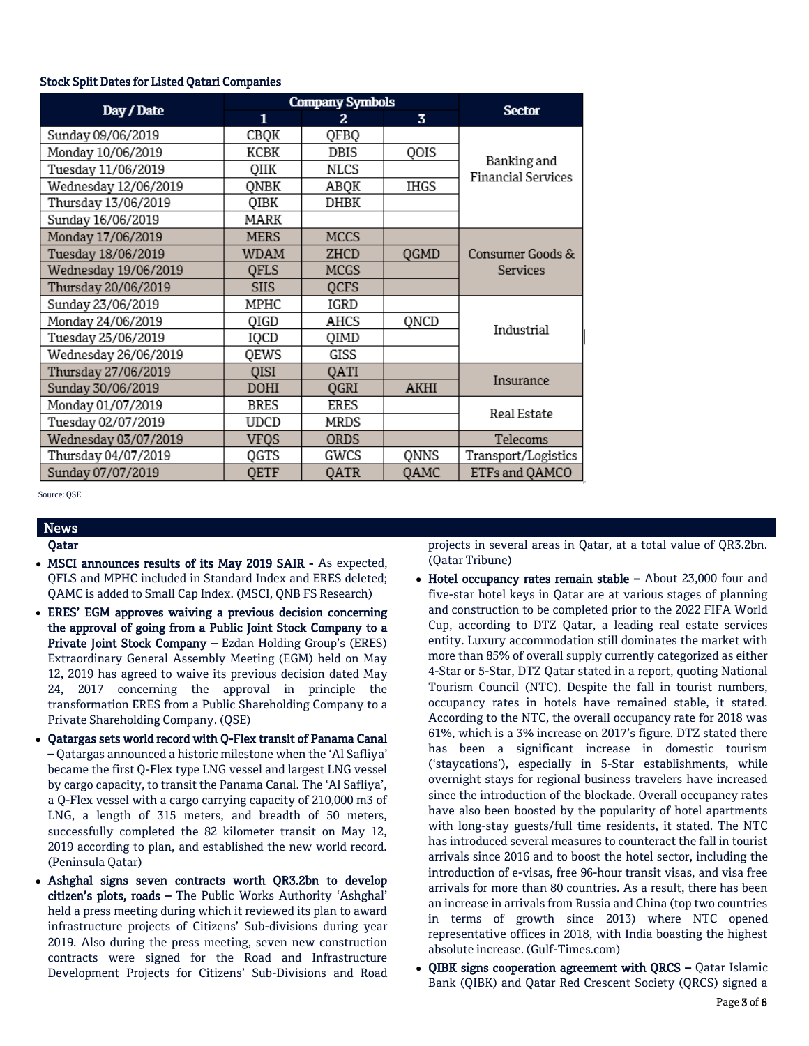## Stock Split Dates for Listed Qatari Companies

|                      |             | <b>Company Symbols</b> | <b>Sector</b>           |                           |  |
|----------------------|-------------|------------------------|-------------------------|---------------------------|--|
| Day / Date           | 1           | 2.                     | $\overline{\mathbf{3}}$ |                           |  |
| Sunday 09/06/2019    | CBQK        | QFBQ                   |                         |                           |  |
| Monday 10/06/2019    | КСВК        | DBIS                   | QOIS                    | Banking and               |  |
| Tuesday 11/06/2019   | QIIK        | NLCS                   |                         | <b>Financial Services</b> |  |
| Wednesday 12/06/2019 | ONBK        | ABQK                   | IHGS                    |                           |  |
| Thursday 13/06/2019  | QIBK        | DHBK                   |                         |                           |  |
| Sunday 16/06/2019    | MARK        |                        |                         |                           |  |
| Monday 17/06/2019    | MERS        | <b>MCCS</b>            |                         |                           |  |
| Tuesday 18/06/2019   | <b>WDAM</b> | ZHCD                   | QGMD                    | Consumer Goods &          |  |
| Wednesday 19/06/2019 | OFLS        | <b>MCGS</b>            |                         | Services                  |  |
| Thursday 20/06/2019  | <b>SIIS</b> | <b>QCFS</b>            |                         |                           |  |
| Sunday 23/06/2019    | MPHC        | IGRD                   |                         |                           |  |
| Monday 24/06/2019    | QIGD        | AHCS                   | QNCD                    | Industrial                |  |
| Tuesday 25/06/2019   | IQCD        | QIMD                   |                         |                           |  |
| Wednesday 26/06/2019 | QEWS        | GISS                   |                         |                           |  |
| Thursday 27/06/2019  | <b>QISI</b> | QATI                   |                         | Insurance                 |  |
| Sunday 30/06/2019    | <b>DOHI</b> | QGRI                   | <b>AKHI</b>             |                           |  |
| Monday 01/07/2019    | <b>BRES</b> | <b>ERES</b>            |                         | Real Estate               |  |
| Tuesday 02/07/2019   | UDCD        | MRDS                   |                         |                           |  |
| Wednesday 03/07/2019 | <b>VFQS</b> | <b>ORDS</b>            |                         | Telecoms                  |  |
| Thursday 04/07/2019  | QGTS        | GWCS                   | QNNS                    | Transport/Logistics       |  |
| Sunday 07/07/2019    | QETF        | QATR                   | <b>QAMC</b>             | ETFs and QAMCO            |  |

Source: QSE

# News

# Qatar

- MSCI announces results of its May 2019 SAIR As expected, QFLS and MPHC included in Standard Index and ERES deleted; QAMC is added to Small Cap Index. (MSCI, QNB FS Research)
- ERES' EGM approves waiving a previous decision concerning the approval of going from a Public Joint Stock Company to a Private Joint Stock Company – Ezdan Holding Group's (ERES) Extraordinary General Assembly Meeting (EGM) held on May 12, 2019 has agreed to waive its previous decision dated May 24, 2017 concerning the approval in principle the transformation ERES from a Public Shareholding Company to a Private Shareholding Company. (QSE)
- Qatargas sets world record with Q-Flex transit of Panama Canal – Qatargas announced a historic milestone when the 'Al Safliya' became the first Q-Flex type LNG vessel and largest LNG vessel by cargo capacity, to transit the Panama Canal. The 'Al Safliya', a Q-Flex vessel with a cargo carrying capacity of 210,000 m3 of LNG, a length of 315 meters, and breadth of 50 meters, successfully completed the 82 kilometer transit on May 12, 2019 according to plan, and established the new world record. (Peninsula Qatar)
- Ashghal signs seven contracts worth QR3.2bn to develop citizen's plots, roads – The Public Works Authority 'Ashghal' held a press meeting during which it reviewed its plan to award infrastructure projects of Citizens' Sub-divisions during year 2019. Also during the press meeting, seven new construction contracts were signed for the Road and Infrastructure Development Projects for Citizens' Sub-Divisions and Road

projects in several areas in Qatar, at a total value of QR3.2bn. (Qatar Tribune)

- Hotel occupancy rates remain stable About 23,000 four and five-star hotel keys in Qatar are at various stages of planning and construction to be completed prior to the 2022 FIFA World Cup, according to DTZ Qatar, a leading real estate services entity. Luxury accommodation still dominates the market with more than 85% of overall supply currently categorized as either 4-Star or 5-Star, DTZ Qatar stated in a report, quoting National Tourism Council (NTC). Despite the fall in tourist numbers, occupancy rates in hotels have remained stable, it stated. According to the NTC, the overall occupancy rate for 2018 was 61%, which is a 3% increase on 2017's figure. DTZ stated there has been a significant increase in domestic tourism ('staycations'), especially in 5-Star establishments, while overnight stays for regional business travelers have increased since the introduction of the blockade. Overall occupancy rates have also been boosted by the popularity of hotel apartments with long-stay guests/full time residents, it stated. The NTC has introduced several measures to counteract the fall in tourist arrivals since 2016 and to boost the hotel sector, including the introduction of e-visas, free 96-hour transit visas, and visa free arrivals for more than 80 countries. As a result, there has been an increase in arrivals from Russia and China (top two countries in terms of growth since 2013) where NTC opened representative offices in 2018, with India boasting the highest absolute increase. (Gulf-Times.com)
- QIBK signs cooperation agreement with QRCS Qatar Islamic Bank (QIBK) and Qatar Red Crescent Society (QRCS) signed a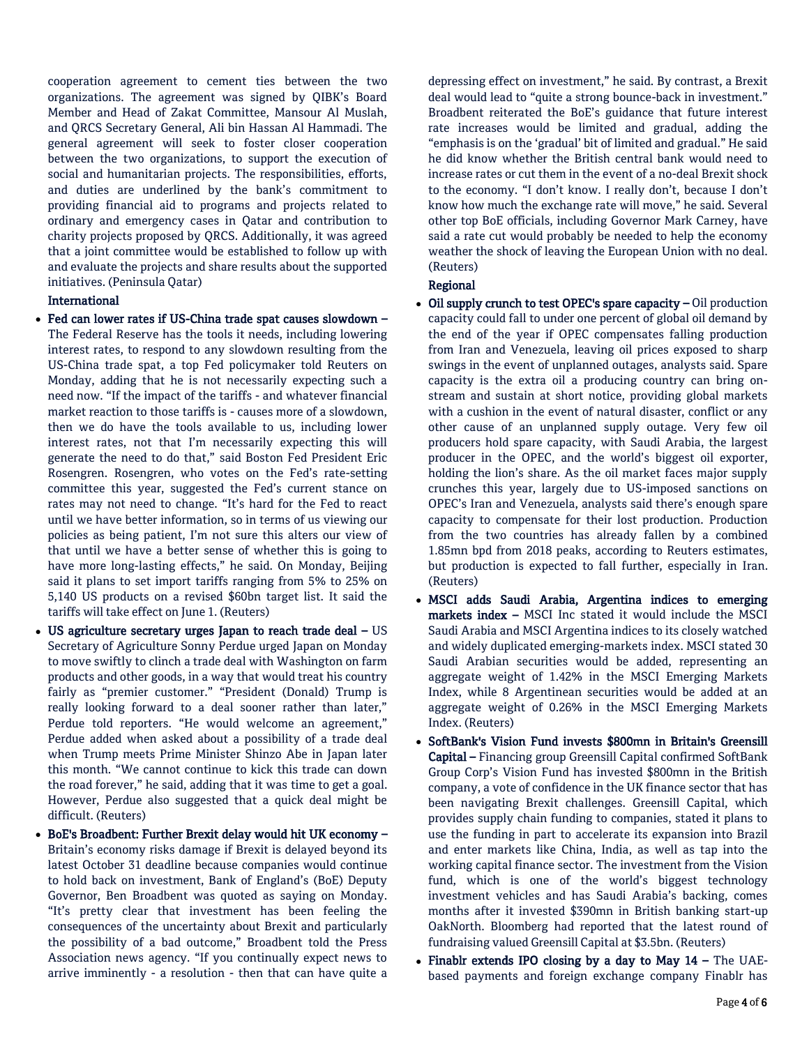cooperation agreement to cement ties between the two organizations. The agreement was signed by QIBK's Board Member and Head of Zakat Committee, Mansour Al Muslah, and QRCS Secretary General, Ali bin Hassan Al Hammadi. The general agreement will seek to foster closer cooperation between the two organizations, to support the execution of social and humanitarian projects. The responsibilities, efforts, and duties are underlined by the bank's commitment to providing financial aid to programs and projects related to ordinary and emergency cases in Qatar and contribution to charity projects proposed by QRCS. Additionally, it was agreed that a joint committee would be established to follow up with and evaluate the projects and share results about the supported initiatives. (Peninsula Qatar)

# International

- Fed can lower rates if US-China trade spat causes slowdown The Federal Reserve has the tools it needs, including lowering interest rates, to respond to any slowdown resulting from the US-China trade spat, a top Fed policymaker told Reuters on Monday, adding that he is not necessarily expecting such a need now. "If the impact of the tariffs - and whatever financial market reaction to those tariffs is - causes more of a slowdown, then we do have the tools available to us, including lower interest rates, not that I'm necessarily expecting this will generate the need to do that," said Boston Fed President Eric Rosengren. Rosengren, who votes on the Fed's rate-setting committee this year, suggested the Fed's current stance on rates may not need to change. "It's hard for the Fed to react until we have better information, so in terms of us viewing our policies as being patient, I'm not sure this alters our view of that until we have a better sense of whether this is going to have more long-lasting effects," he said. On Monday, Beijing said it plans to set import tariffs ranging from 5% to 25% on 5,140 US products on a revised \$60bn target list. It said the tariffs will take effect on June 1. (Reuters)
- US agriculture secretary urges Japan to reach trade deal US Secretary of Agriculture Sonny Perdue urged Japan on Monday to move swiftly to clinch a trade deal with Washington on farm products and other goods, in a way that would treat his country fairly as "premier customer." "President (Donald) Trump is really looking forward to a deal sooner rather than later," Perdue told reporters. "He would welcome an agreement," Perdue added when asked about a possibility of a trade deal when Trump meets Prime Minister Shinzo Abe in Japan later this month. "We cannot continue to kick this trade can down the road forever," he said, adding that it was time to get a goal. However, Perdue also suggested that a quick deal might be difficult. (Reuters)
- BoE's Broadbent: Further Brexit delay would hit UK economy Britain's economy risks damage if Brexit is delayed beyond its latest October 31 deadline because companies would continue to hold back on investment, Bank of England's (BoE) Deputy Governor, Ben Broadbent was quoted as saying on Monday. "It's pretty clear that investment has been feeling the consequences of the uncertainty about Brexit and particularly the possibility of a bad outcome," Broadbent told the Press Association news agency. "If you continually expect news to arrive imminently - a resolution - then that can have quite a

depressing effect on investment," he said. By contrast, a Brexit deal would lead to "quite a strong bounce-back in investment." Broadbent reiterated the BoE's guidance that future interest rate increases would be limited and gradual, adding the "emphasis is on the 'gradual' bit of limited and gradual." He said he did know whether the British central bank would need to increase rates or cut them in the event of a no-deal Brexit shock to the economy. "I don't know. I really don't, because I don't know how much the exchange rate will move," he said. Several other top BoE officials, including Governor Mark Carney, have said a rate cut would probably be needed to help the economy weather the shock of leaving the European Union with no deal. (Reuters)

# Regional

- Oil supply crunch to test OPEC's spare capacity Oil production capacity could fall to under one percent of global oil demand by the end of the year if OPEC compensates falling production from Iran and Venezuela, leaving oil prices exposed to sharp swings in the event of unplanned outages, analysts said. Spare capacity is the extra oil a producing country can bring onstream and sustain at short notice, providing global markets with a cushion in the event of natural disaster, conflict or any other cause of an unplanned supply outage. Very few oil producers hold spare capacity, with Saudi Arabia, the largest producer in the OPEC, and the world's biggest oil exporter, holding the lion's share. As the oil market faces major supply crunches this year, largely due to US-imposed sanctions on OPEC's Iran and Venezuela, analysts said there's enough spare capacity to compensate for their lost production. Production from the two countries has already fallen by a combined 1.85mn bpd from 2018 peaks, according to Reuters estimates, but production is expected to fall further, especially in Iran. (Reuters)
- MSCI adds Saudi Arabia, Argentina indices to emerging markets index – MSCI Inc stated it would include the MSCI Saudi Arabia and MSCI Argentina indices to its closely watched and widely duplicated emerging-markets index. MSCI stated 30 Saudi Arabian securities would be added, representing an aggregate weight of 1.42% in the MSCI Emerging Markets Index, while 8 Argentinean securities would be added at an aggregate weight of 0.26% in the MSCI Emerging Markets Index. (Reuters)
- SoftBank's Vision Fund invests \$800mn in Britain's Greensill Capital – Financing group Greensill Capital confirmed SoftBank Group Corp's Vision Fund has invested \$800mn in the British company, a vote of confidence in the UK finance sector that has been navigating Brexit challenges. Greensill Capital, which provides supply chain funding to companies, stated it plans to use the funding in part to accelerate its expansion into Brazil and enter markets like China, India, as well as tap into the working capital finance sector. The investment from the Vision fund, which is one of the world's biggest technology investment vehicles and has Saudi Arabia's backing, comes months after it invested \$390mn in British banking start-up OakNorth. Bloomberg had reported that the latest round of fundraising valued Greensill Capital at \$3.5bn. (Reuters)
- Finablr extends IPO closing by a day to May  $14$  The UAEbased payments and foreign exchange company Finablr has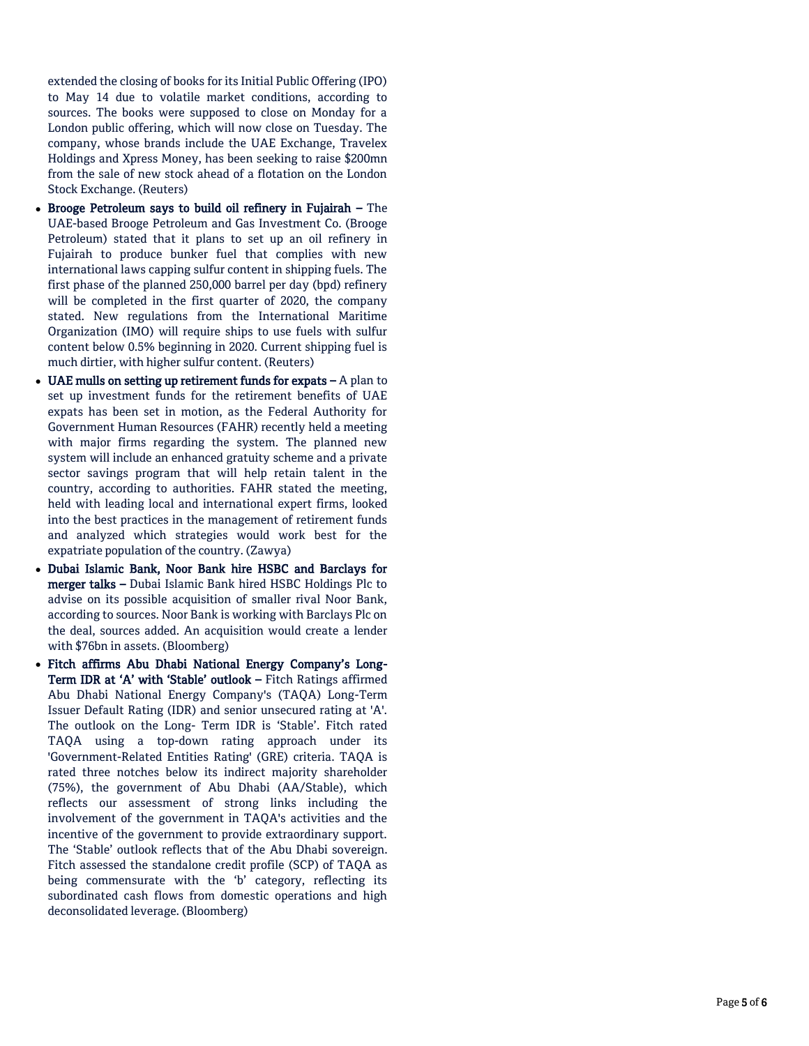extended the closing of books for its Initial Public Offering (IPO) to May 14 due to volatile market conditions, according to sources. The books were supposed to close on Monday for a London public offering, which will now close on Tuesday. The company, whose brands include the UAE Exchange, Travelex Holdings and Xpress Money, has been seeking to raise \$200mn from the sale of new stock ahead of a flotation on the London Stock Exchange. (Reuters)

- Brooge Petroleum says to build oil refinery in Fujairah The UAE -based Brooge Petroleum and Gas Investment Co. (Brooge Petroleum) stated that it plans to set up an oil refinery in Fujairah to produce bunker fuel that complies with new international laws capping sulfur content in shipping fuels. The first phase of the planned 250,000 barrel per day (bpd) refinery will be completed in the first quarter of 2020, the company stated. New regulations from the International Maritime Organization (IMO) will require ships to use fuels with sulfur content below 0.5% beginning in 2020. Current shipping fuel is much dirtier, with higher sulfur content. (Reuters)
- UAE mulls on setting up retirement funds for expats  $-A$  plan to set up investment funds for the retirement benefits of UAE expats has been set in motion, as the Federal Authority for Government Human Resources (FAHR) recently held a meeting with major firms regarding the system. The planned new system will include an enhanced gratuity scheme and a private sector savings program that will help retain talent in the country, according to authorities. FAHR stated the meeting, held with leading local and international expert firms, looked into the best practices in the management of retirement funds and analyzed which strategies would work best for the expatriate population of the country. (Zawya)
- Dubai Islamic Bank, Noor Bank hire HSBC and Barclays for merger talks – Dubai Islamic Bank hired HSBC Holdings Plc to advise on its possible acquisition of smaller rival Noor Bank, according to sources. Noor Bank is working with Barclays Plc on the deal, sources added. An acquisition would create a lender with \$76bn in assets. (Bloomberg)
- Fitch affirms Abu Dhabi National Energy Company's Long Term IDR at 'A' with 'Stable' outlook - Fitch Ratings affirmed Abu Dhabi National Energy Company's (TAQA) Long -Term Issuer Default Rating (IDR) and senior unsecured rating at 'A'. The outlook on the Long - Term IDR is 'Stable'. Fitch rated TAQA using a top -down rating approach under its 'Government -Related Entities Rating' (GRE) criteria. TAQA is rated three notches below its indirect majority shareholder (75%), the government of Abu Dhabi (AA/Stable), which reflects our assessment of strong links including the involvement of the government in TAQA's activities and the incentive of the government to provide extraordinary support. The 'Stable' outlook reflects that of the Abu Dhabi sovereign. Fitch assessed the standalone credit profile (SCP) of TAQA as being commensurate with the 'b' category, reflecting its subordinated cash flows from domestic operations and high deconsolidated leverage. (Bloomberg)